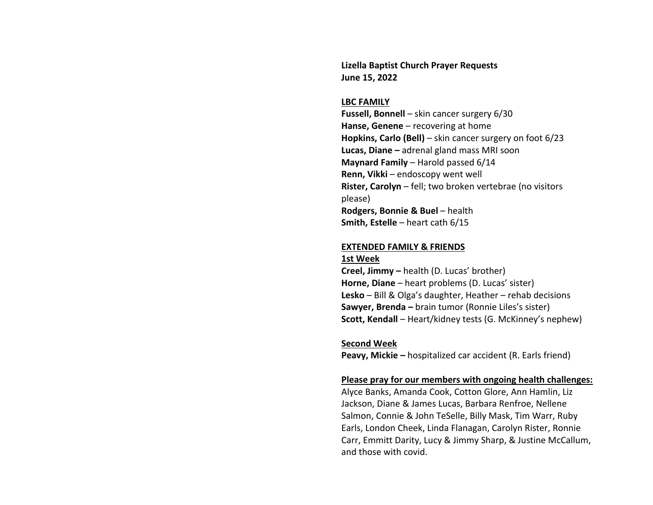**Lizella Baptist Church Prayer Requests June 15, 2022**

#### **LBC FAMILY**

**Fussell, Bonnell** – skin cancer surgery 6/30 **Hanse, Genene** – recovering at home **Hopkins, Carlo (Bell)** – skin cancer surgery on foot 6/23 **Lucas, Diane –** adrenal gland mass MRI soon **Maynard Family** – Harold passed 6/14 **Renn, Vikki** – endoscopy went well **Rister, Carolyn** – fell; two broken vertebrae (no visitors please) **Rodgers, Bonnie & Buel** – health **Smith, Estelle** – heart cath 6/15

### **EXTENDED FAMILY & FRIENDS**

### **1st Week**

**Creel, Jimmy –** health (D. Lucas' brother) **Horne, Diane** – heart problems (D. Lucas' sister) **Lesko** – Bill & Olga's daughter, Heather – rehab decisions **Sawyer, Brenda –** brain tumor (Ronnie Liles's sister) **Scott, Kendall** – Heart/kidney tests (G. McKinney's nephew)

### **Second Week**

**Peavy, Mickie –** hospitalized car accident (R. Earls friend)

### **Please pray for our members with ongoing health challenges:**

Alyce Banks, Amanda Cook, Cotton Glore, Ann Hamlin, Liz Jackson, Diane & James Lucas, Barbara Renfroe, Nellene Salmon, Connie & John TeSelle, Billy Mask, Tim Warr, Ruby Earls, London Cheek, Linda Flanagan, Carolyn Rister, Ronnie Carr, Emmitt Darity, Lucy & Jimmy Sharp, & Justine McCallum, and those with covid.